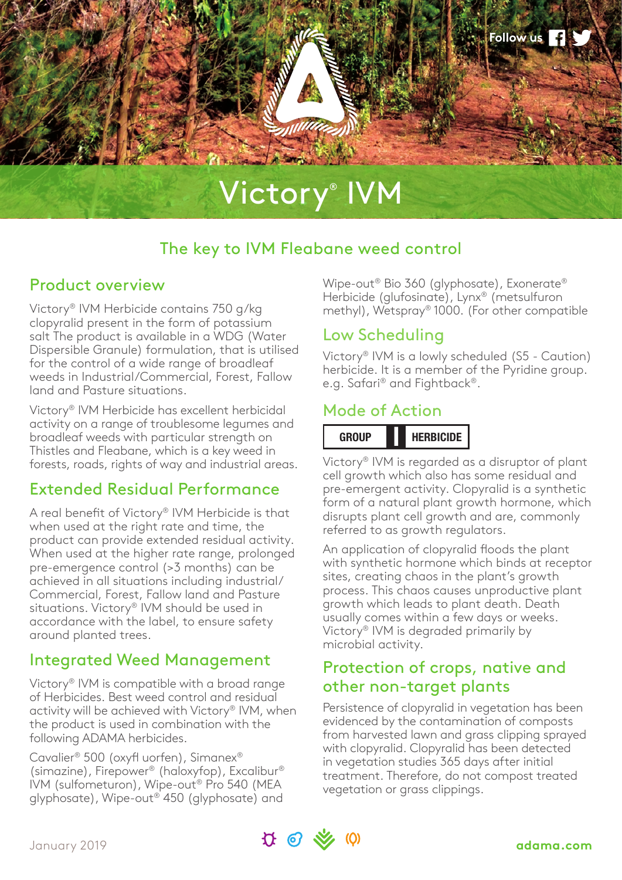

# The key to IVM Fleabane weed control

## Product overview

Victory® IVM Herbicide contains 750 g/kg clopyralid present in the form of potassium salt The product is available in a WDG (Water Dispersible Granule) formulation, that is utilised for the control of a wide range of broadleaf weeds in Industrial/Commercial, Forest, Fallow land and Pasture situations.

Victory® IVM Herbicide has excellent herbicidal activity on a range of troublesome legumes and broadleaf weeds with particular strength on Thistles and Fleabane, which is a key weed in forests, roads, rights of way and industrial areas.

## Extended Residual Performance

A real benefit of Victory® IVM Herbicide is that when used at the right rate and time, the product can provide extended residual activity. When used at the higher rate range, prolonged pre-emergence control (>3 months) can be achieved in all situations including industrial/ Commercial, Forest, Fallow land and Pasture situations. Victory® IVM should be used in accordance with the label, to ensure safety around planted trees.

## Integrated Weed Management

Victory® IVM is compatible with a broad range of Herbicides. Best weed control and residual activity will be achieved with Victory® IVM, when the product is used in combination with the following ADAMA herbicides.

Cavalier® 500 (oxyfl uorfen), Simanex® (simazine), Firepower® (haloxyfop), Excalibur® IVM (sulfometuron), Wipe-out® Pro 540 (MEA glyphosate), Wipe-out® 450 (glyphosate) and

Wipe-out® Bio 360 (glyphosate), Exonerate® Herbicide (glufosinate), Lynx® (metsulfuron methyl), Wetspray® 1000. (For other compatible

### Low Scheduling

Victory® IVM is a lowly scheduled (S5 - Caution) herbicide. It is a member of the Pyridine group. e.g. Safari® and Fightback®.

## Mode of Action



Victory® IVM is regarded as a disruptor of plant cell growth which also has some residual and pre-emergent activity. Clopyralid is a synthetic form of a natural plant growth hormone, which disrupts plant cell growth and are, commonly referred to as growth regulators.

An application of clopyralid floods the plant with synthetic hormone which binds at receptor sites, creating chaos in the plant's growth process. This chaos causes unproductive plant growth which leads to plant death. Death usually comes within a few days or weeks. Victory® IVM is degraded primarily by microbial activity.

## Protection of crops, native and other non-target plants

Persistence of clopyralid in vegetation has been evidenced by the contamination of composts from harvested lawn and grass clipping sprayed with clopyralid. Clopyralid has been detected in vegetation studies 365 days after initial treatment. Therefore, do not compost treated vegetation or grass clippings.